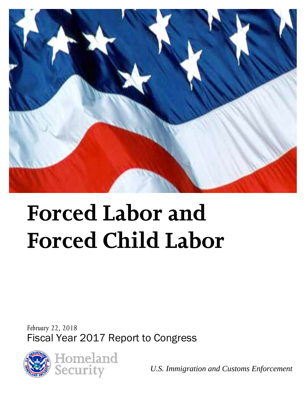

# **Forced Labor and Forced Child Labor**

*February 22, 2018* Fiscal Year 2017 Report to Congress





*U.S. Immigration and Customs Enforcement*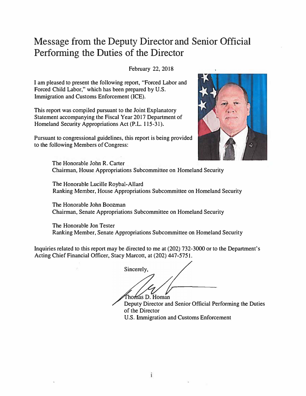## Message from the Deputy Director and Senior Official Performing the Duties of the Director

February 22, 2018

I am pleased to present the following report, "Forced Labor and Forced Child Labor," which has been prepared by U.S. Immigration and Customs Enforcement (ICE).

This report was compiled pursuant to the Joint Explanatory Statement accompanying the Fiscal Year 2017 Department of Homeland Security Appropriations Act (P.L. 115-31).

Pursuant to congressional guidelines, this report is being provided to the following Members of Congress:



The Honorable John R. Carter Chairman, House Appropriations Subcommittee on Homeland Security

The Honorable Lucille Roybal-Allard Ranking Member, House Appropriations Subcommittee on Homeland Security

The Honorable John Boozman Chairman, Senate Appropriations Subcommittee on Homeland Security

The Honorable Jon Tester Ranking Member, Senate Appropriations Subcommittee on Homeland Security

Inquiries related to this report may be directed to me at (202) 732-3000 or to the Department's Acting Chief Financial Officer, Stacy Marcott, at (202) 447-5751.

Sincerely, omas D. Homan

Deputy Director and Senior Official Performing the Duties of the Director U.S. Immigration and Customs Enforcement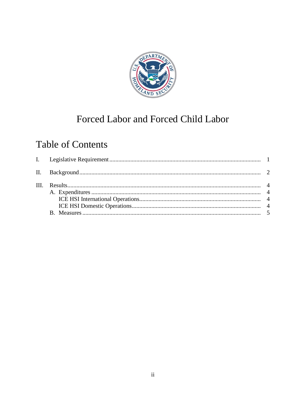

# Forced Labor and Forced Child Labor

# **Table of Contents**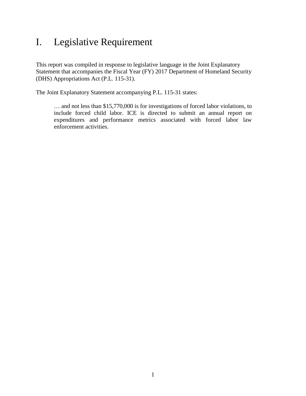## <span id="page-3-0"></span>I. Legislative Requirement

This report was compiled in response to legislative language in the Joint Explanatory Statement that accompanies the Fiscal Year (FY) 2017 Department of Homeland Security (DHS) Appropriations Act (P.L. 115-31).

The Joint Explanatory Statement accompanying P.L. 115-31 states:

… and not less than \$15,770,000 is for investigations of forced labor violations, to include forced child labor. ICE is directed to submit an annual report on expenditures and performance metrics associated with forced labor law enforcement activities.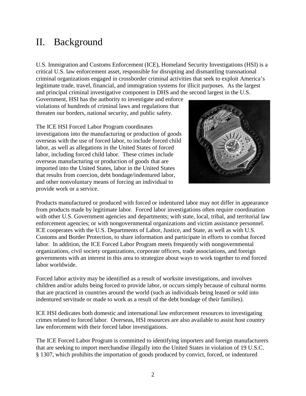#### <span id="page-4-0"></span>II. Background

U.S. Immigration and Customs Enforcement (ICE), Homeland Security Investigations (HSI) is a critical U.S. law enforcement asset, responsible for disrupting and dismantling transnational criminal organizations engaged in crossborder criminal activities that seek to exploit America's legitimate trade, travel, financial, and immigration systems for illicit purposes. As the largest and principal criminal investigative component in DHS and the second largest in the U.S.

Government, HSI has the authority to investigate and enforce violations of hundreds of criminal laws and regulations that threaten our borders, national security, and public safety.

The ICE HSI Forced Labor Program coordinates investigations into the manufacturing or production of goods overseas with the use of forced labor, to include forced child labor, as well as allegations in the United States of forced labor, including forced child labor. These crimes include overseas manufacturing or production of goods that are imported into the United States, labor in the United States that results from coercion, debt bondage/indentured labor, and other nonvoluntary means of forcing an individual to provide work or a service.



Products manufactured or produced with forced or indentured labor may not differ in appearance from products made by legitimate labor. Forced labor investigations often require coordination with other U.S. Government agencies and departments; with state, local, tribal, and territorial law enforcement agencies; or with nongovernmental organizations and victim assistance personnel. ICE cooperates with the U.S. Departments of Labor, Justice, and State, as well as with U.S. Customs and Border Protection, to share information and participate in efforts to combat forced labor. In addition, the ICE Forced Labor Program meets frequently with nongovernmental organizations, civil society organizations, corporate officers, trade associations, and foreign governments with an interest in this area to strategize about ways to work together to end forced labor worldwide.

Forced labor activity may be identified as a result of worksite investigations, and involves children and/or adults being forced to provide labor, or occurs simply because of cultural norms that are practiced in countries around the world (such as individuals being leased or sold into indentured servitude or made to work as a result of the debt bondage of their families).

ICE HSI dedicates both domestic and international law enforcement resources to investigating crimes related to forced labor. Overseas, HSI resources are also available to assist host country law enforcement with their forced labor investigations.

The ICE Forced Labor Program is committed to identifying importers and foreign manufacturers that are seeking to import merchandise illegally into the United States in violation of 19 U.S.C. § 1307, which prohibits the importation of goods produced by convict, forced, or indentured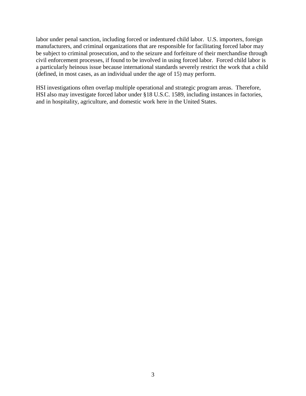labor under penal sanction, including forced or indentured child labor. U.S. importers, foreign manufacturers, and criminal organizations that are responsible for facilitating forced labor may be subject to criminal prosecution, and to the seizure and forfeiture of their merchandise through civil enforcement processes, if found to be involved in using forced labor. Forced child labor is a particularly heinous issue because international standards severely restrict the work that a child (defined, in most cases, as an individual under the age of 15) may perform.

HSI investigations often overlap multiple operational and strategic program areas. Therefore, HSI also may investigate forced labor under §18 U.S.C. 1589, including instances in factories, and in hospitality, agriculture, and domestic work here in the United States.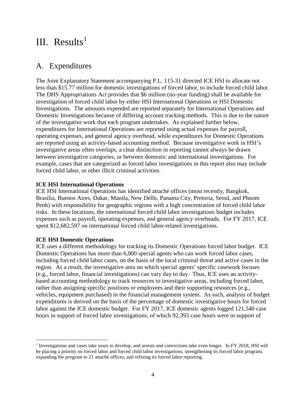#### <span id="page-6-0"></span>III.  $Results<sup>1</sup>$  $Results<sup>1</sup>$  $Results<sup>1</sup>$

#### <span id="page-6-1"></span>A. Expenditures

The Joint Explanatory Statement accompanying P.L. 115-31 directed ICE HSI to allocate not less than \$15.77 million for domestic investigations of forced labor, to include forced child labor. The DHS Appropriations Act provides that \$6 million (no-year funding) shall be available for investigation of forced child labor by either HSI International Operations or HSI Domestic Investigations. The amounts expended are reported separately for International Operations and Domestic Investigations because of differing account tracking methods. This is due to the nature of the investigative work that each program undertakes. As explained further below, expenditures for International Operations are reported using actual expenses for payroll, operating expenses, and general agency overhead, while expenditures for Domestic Operations are reported using an activity-based accounting method. Because investigative work in HSI's investigative areas often overlaps, a clear distinction in reporting cannot always be drawn between investigative categories, or between domestic and international investigations. For example, cases that are categorized as forced labor investigations in this report also may include forced child labor, or other illicit criminal activities.

#### <span id="page-6-2"></span>**ICE HSI International Operations**

ICE HSI International Operations has identified attaché offices (most recently, Bangkok, Brasília, Buenos Aires, Dakar, Manila, New Delhi, Panama City, Pretoria, Seoul, and Phnom Penh) with responsibility for geographic regions with a high concentration of forced child labor risks. In these locations, the international forced child labor investigations budget includes expenses such as payroll, operating expenses, and general agency overheads. For FY 2017, ICE spent \$12,682,597 on international forced child labor-related investigations.

#### <span id="page-6-3"></span>**ICE HSI Domestic Operations**

 $\overline{a}$ 

ICE uses a different methodology for tracking its Domestic Operations forced labor budget. ICE Domestic Operations has more than 6,000 special agents who can work forced labor cases, including forced child labor cases, on the basis of the local criminal threat and active cases in the region. As a result, the investigative area on which special agents' specific casework focuses (e.g., forced labor, financial investigations) can vary day to day. Thus, ICE uses an activitybased accounting methodology to track resources to investigative areas, including forced labor, rather than assigning specific positions or employees and their supporting resources (e.g., vehicles, equipment purchased) in the financial management system. As such, analysis of budget expenditures is derived on the basis of the percentage of domestic investigative hours for forced labor against the ICE domestic budget. For FY 2017, ICE domestic agents logged 121,540 case hours in support of forced labor investigations, of which 92,393 case hours were in support of

<span id="page-6-4"></span><sup>&</sup>lt;sup>1</sup> Investigations and cases take years to develop, and arrests and convictions take even longer. In FY 2018, HSI will be placing a priority on forced labor and forced child labor investigations, strengthening its forced labor program, expanding the program to 21 attaché offices, and refining its forced labor reporting.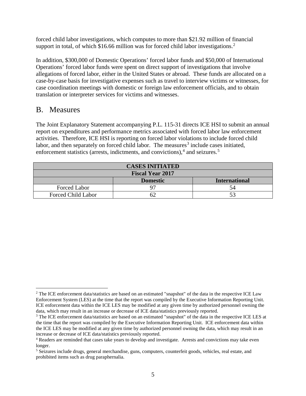forced child labor investigations, which computes to more than \$21.92 million of financial support in total, of which \$16.66 million was for forced child labor investigations.<sup>[2](#page-7-1)</sup>

In addition, \$300,000 of Domestic Operations' forced labor funds and \$50,000 of International Operations' forced labor funds were spent on direct support of investigations that involve allegations of forced labor, either in the United States or abroad. These funds are allocated on a case-by-case basis for investigative expenses such as travel to interview victims or witnesses, for case coordination meetings with domestic or foreign law enforcement officials, and to obtain translation or interpreter services for victims and witnesses.

#### <span id="page-7-0"></span>B. Measures

The Joint Explanatory Statement accompanying P.L. 115-31 directs ICE HSI to submit an annual report on expenditures and performance metrics associated with forced labor law enforcement activities. Therefore, ICE HSI is reporting on forced labor violations to include forced child labor, and then separately on forced child labor. The measures<sup>[3](#page-7-2)</sup> include cases initiated, enforcement statistics (arrests, indictments, and convictions), $4$  and seizures.<sup>[5](#page-7-4)</sup>

| <b>CASES INITIATED</b>    |                 |                      |  |  |  |
|---------------------------|-----------------|----------------------|--|--|--|
| <b>Fiscal Year 2017</b>   |                 |                      |  |  |  |
|                           | <b>Domestic</b> | <b>International</b> |  |  |  |
| Forced Labor              |                 | 54                   |  |  |  |
| <b>Forced Child Labor</b> |                 | 53                   |  |  |  |

<span id="page-7-1"></span> $\overline{a}$  $2$  The ICE enforcement data/statistics are based on an estimated "snapshot" of the data in the respective ICE Law Enforcement System (LES) at the time that the report was compiled by the Executive Information Reporting Unit. ICE enforcement data within the ICE LES may be modified at any given time by authorized personnel owning the data, which may result in an increase or decrease of ICE data/statistics previously reported.

<span id="page-7-2"></span><sup>&</sup>lt;sup>3</sup> The ICE enforcement data/statistics are based on an estimated "snapshot" of the data in the respective ICE LES at the time that the report was compiled by the Executive Information Reporting Unit. ICE enforcement data within the ICE LES may be modified at any given time by authorized personnel owning the data, which may result in an increase or decrease of ICE data/statistics previously reported.

<span id="page-7-3"></span><sup>4</sup> Readers are reminded that cases take years to develop and investigate. Arrests and convictions may take even longer.

<span id="page-7-4"></span><sup>&</sup>lt;sup>5</sup> Seizures include drugs, general merchandise, guns, computers, counterfeit goods, vehicles, real estate, and prohibited items such as drug paraphernalia.